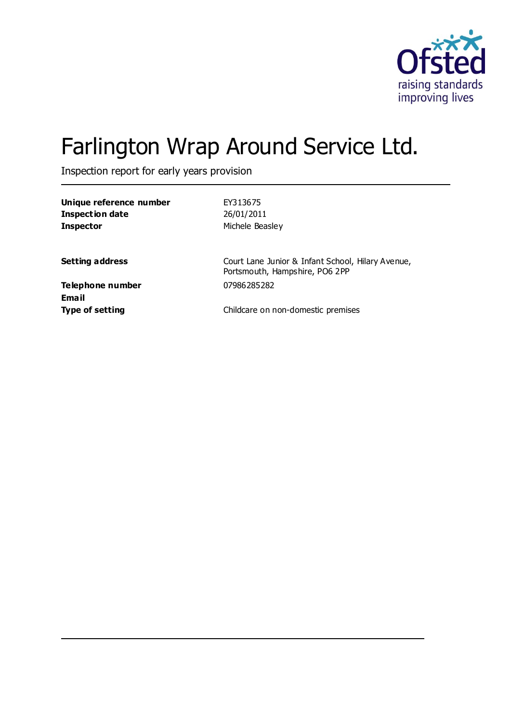

# Farlington Wrap Around Service Ltd.

Inspection report for early years provision

| Unique reference number |  |
|-------------------------|--|
| Inspection date         |  |
| <b>Inspector</b>        |  |

**Unique reference number** EY313675 **Inspection date** 26/01/2011 **Michele Beasley** 

**Setting address Court Lane Junior & Infant School, Hilary Avenue,** Portsmouth, Hampshire, PO6 2PP

**Telephone number** 07986285282 **Email**

**Type of setting** Childcare on non-domestic premises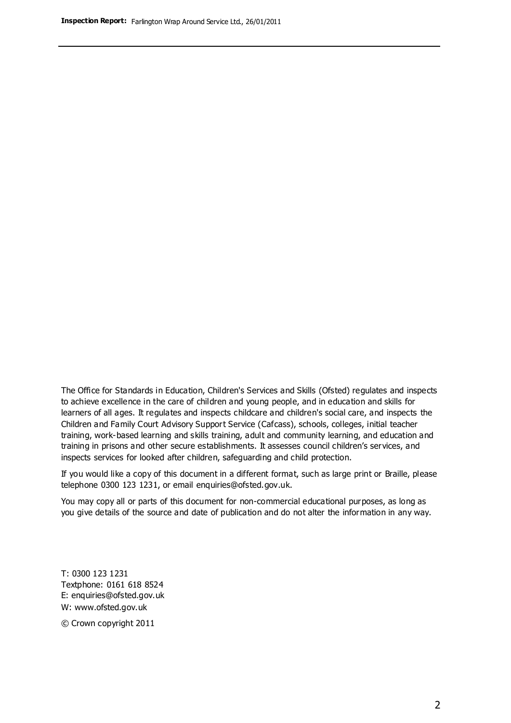The Office for Standards in Education, Children's Services and Skills (Ofsted) regulates and inspects to achieve excellence in the care of children and young people, and in education and skills for learners of all ages. It regulates and inspects childcare and children's social care, and inspects the Children and Family Court Advisory Support Service (Cafcass), schools, colleges, initial teacher training, work-based learning and skills training, adult and community learning, and education and training in prisons and other secure establishments. It assesses council children's services, and inspects services for looked after children, safeguarding and child protection.

If you would like a copy of this document in a different format, such as large print or Braille, please telephone 0300 123 1231, or email enquiries@ofsted.gov.uk.

You may copy all or parts of this document for non-commercial educational purposes, as long as you give details of the source and date of publication and do not alter the information in any way.

T: 0300 123 1231 Textphone: 0161 618 8524 E: enquiries@ofsted.gov.uk W: [www.ofsted.gov.uk](http://www.ofsted.gov.uk/)

© Crown copyright 2011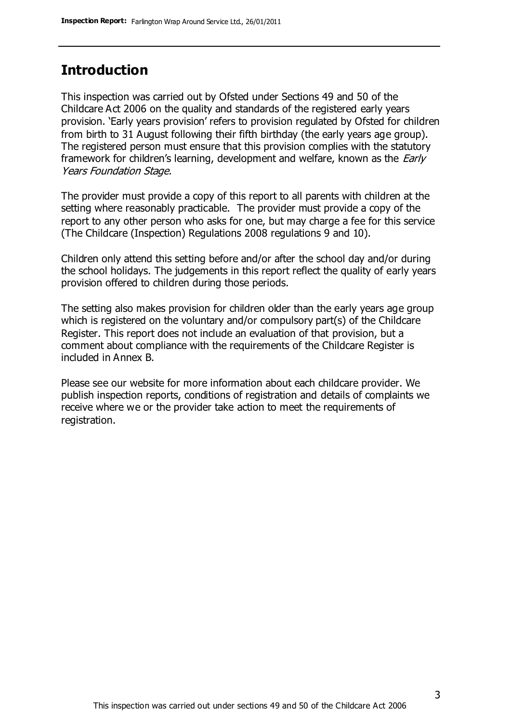#### **Introduction**

This inspection was carried out by Ofsted under Sections 49 and 50 of the Childcare Act 2006 on the quality and standards of the registered early years provision. 'Early years provision' refers to provision regulated by Ofsted for children from birth to 31 August following their fifth birthday (the early years age group). The registered person must ensure that this provision complies with the statutory framework for children's learning, development and welfare, known as the *Early* Years Foundation Stage.

The provider must provide a copy of this report to all parents with children at the setting where reasonably practicable. The provider must provide a copy of the report to any other person who asks for one, but may charge a fee for this service (The Childcare (Inspection) Regulations 2008 regulations 9 and 10).

Children only attend this setting before and/or after the school day and/or during the school holidays. The judgements in this report reflect the quality of early years provision offered to children during those periods.

The setting also makes provision for children older than the early years age group which is registered on the voluntary and/or compulsory part(s) of the Childcare Register. This report does not include an evaluation of that provision, but a comment about compliance with the requirements of the Childcare Register is included in Annex B.

Please see our website for more information about each childcare provider. We publish inspection reports, conditions of registration and details of complaints we receive where we or the provider take action to meet the requirements of registration.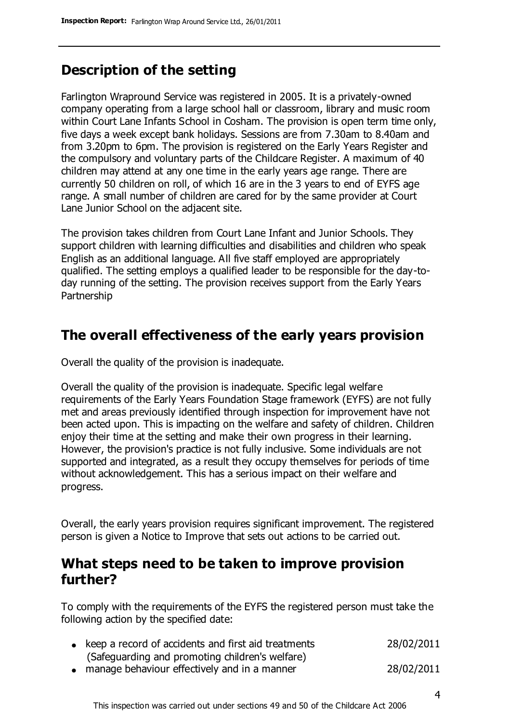### **Description of the setting**

Farlington Wrapround Service was registered in 2005. It is a privately-owned company operating from a large school hall or classroom, library and music room within Court Lane Infants School in Cosham. The provision is open term time only, five days a week except bank holidays. Sessions are from 7.30am to 8.40am and from 3.20pm to 6pm. The provision is registered on the Early Years Register and the compulsory and voluntary parts of the Childcare Register. A maximum of 40 children may attend at any one time in the early years age range. There are currently 50 children on roll, of which 16 are in the 3 years to end of EYFS age range. A small number of children are cared for by the same provider at Court Lane Junior School on the adjacent site.

The provision takes children from Court Lane Infant and Junior Schools. They support children with learning difficulties and disabilities and children who speak English as an additional language. All five staff employed are appropriately qualified. The setting employs a qualified leader to be responsible for the day-today running of the setting. The provision receives support from the Early Years Partnership

### **The overall effectiveness of the early years provision**

Overall the quality of the provision is inadequate.

Overall the quality of the provision is inadequate. Specific legal welfare requirements of the Early Years Foundation Stage framework (EYFS) are not fully met and areas previously identified through inspection for improvement have not been acted upon. This is impacting on the welfare and safety of children. Children enjoy their time at the setting and make their own progress in their learning. However, the provision's practice is not fully inclusive. Some individuals are not supported and integrated, as a result they occupy themselves for periods of time without acknowledgement. This has a serious impact on their welfare and progress.

Overall, the early years provision requires significant improvement. The registered person is given a Notice to Improve that sets out actions to be carried out.

### **What steps need to be taken to improve provision further?**

To comply with the requirements of the EYFS the registered person must take the following action by the specified date:

| • keep a record of accidents and first aid treatments | 28/02/2011 |
|-------------------------------------------------------|------------|
| (Safequarding and promoting children's welfare)       |            |
| • manage behaviour effectively and in a manner        | 28/02/2011 |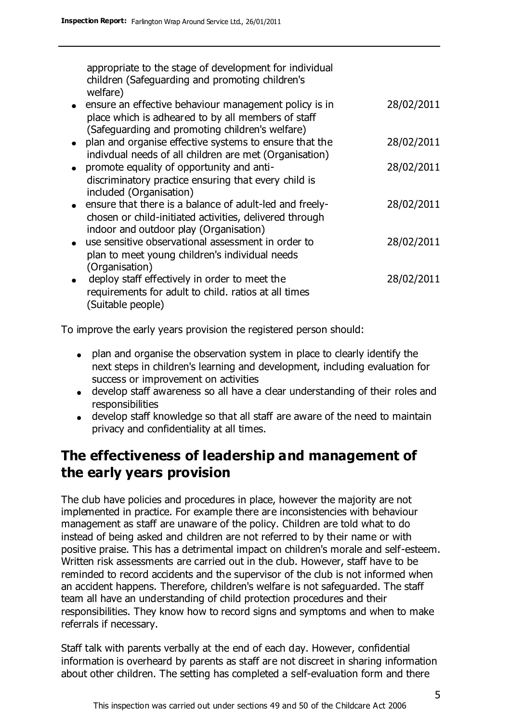| appropriate to the stage of development for individual<br>children (Safeguarding and promoting children's<br>welfare)                                            |            |
|------------------------------------------------------------------------------------------------------------------------------------------------------------------|------------|
| • ensure an effective behaviour management policy is in<br>place which is adheared to by all members of staff<br>(Safeguarding and promoting children's welfare) | 28/02/2011 |
| • plan and organise effective systems to ensure that the<br>indivdual needs of all children are met (Organisation)                                               | 28/02/2011 |
| promote equality of opportunity and anti-<br>discriminatory practice ensuring that every child is<br>included (Organisation)                                     | 28/02/2011 |
| • ensure that there is a balance of adult-led and freely-<br>chosen or child-initiated activities, delivered through<br>indoor and outdoor play (Organisation)   | 28/02/2011 |
| • use sensitive observational assessment in order to<br>plan to meet young children's individual needs<br>(Organisation)                                         | 28/02/2011 |
| deploy staff effectively in order to meet the<br>requirements for adult to child. ratios at all times<br>(Suitable people)                                       | 28/02/2011 |
|                                                                                                                                                                  |            |

To improve the early years provision the registered person should:

- plan and organise the observation system in place to clearly identify the next steps in children's learning and development, including evaluation for success or improvement on activities
- develop staff awareness so all have a clear understanding of their roles and responsibilities
- develop staff knowledge so that all staff are aware of the need to maintain privacy and confidentiality at all times.

### **The effectiveness of leadership and management of the early years provision**

The club have policies and procedures in place, however the majority are not implemented in practice. For example there are inconsistencies with behaviour management as staff are unaware of the policy. Children are told what to do instead of being asked and children are not referred to by their name or with positive praise. This has a detrimental impact on children's morale and self-esteem. Written risk assessments are carried out in the club. However, staff have to be reminded to record accidents and the supervisor of the club is not informed when an accident happens. Therefore, children's welfare is not safeguarded. The staff team all have an understanding of child protection procedures and their responsibilities. They know how to record signs and symptoms and when to make referrals if necessary.

Staff talk with parents verbally at the end of each day. However, confidential information is overheard by parents as staff are not discreet in sharing information about other children. The setting has completed a self-evaluation form and there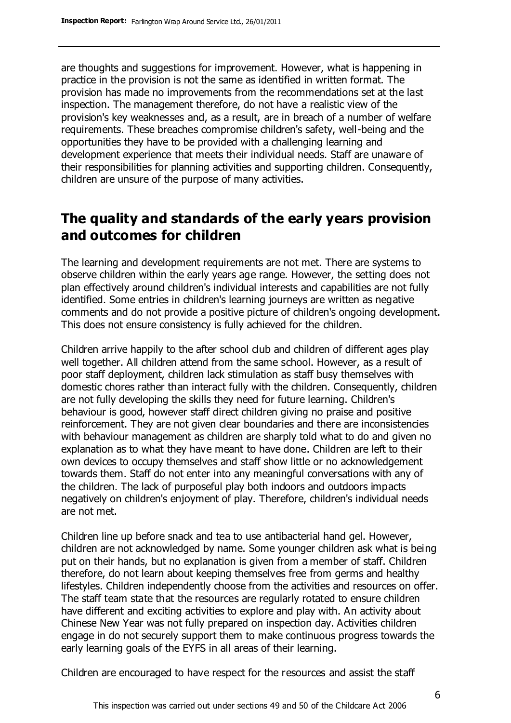are thoughts and suggestions for improvement. However, what is happening in practice in the provision is not the same as identified in written format. The provision has made no improvements from the recommendations set at the last inspection. The management therefore, do not have a realistic view of the provision's key weaknesses and, as a result, are in breach of a number of welfare requirements. These breaches compromise children's safety, well-being and the opportunities they have to be provided with a challenging learning and development experience that meets their individual needs. Staff are unaware of their responsibilities for planning activities and supporting children. Consequently, children are unsure of the purpose of many activities.

### **The quality and standards of the early years provision and outcomes for children**

The learning and development requirements are not met. There are systems to observe children within the early years age range. However, the setting does not plan effectively around children's individual interests and capabilities are not fully identified. Some entries in children's learning journeys are written as negative comments and do not provide a positive picture of children's ongoing development. This does not ensure consistency is fully achieved for the children.

Children arrive happily to the after school club and children of different ages play well together. All children attend from the same school. However, as a result of poor staff deployment, children lack stimulation as staff busy themselves with domestic chores rather than interact fully with the children. Consequently, children are not fully developing the skills they need for future learning. Children's behaviour is good, however staff direct children giving no praise and positive reinforcement. They are not given clear boundaries and there are inconsistencies with behaviour management as children are sharply told what to do and given no explanation as to what they have meant to have done. Children are left to their own devices to occupy themselves and staff show little or no acknowledgement towards them. Staff do not enter into any meaningful conversations with any of the children. The lack of purposeful play both indoors and outdoors impacts negatively on children's enjoyment of play. Therefore, children's individual needs are not met.

Children line up before snack and tea to use antibacterial hand gel. However, children are not acknowledged by name. Some younger children ask what is being put on their hands, but no explanation is given from a member of staff. Children therefore, do not learn about keeping themselves free from germs and healthy lifestyles. Children independently choose from the activities and resources on offer. The staff team state that the resources are regularly rotated to ensure children have different and exciting activities to explore and play with. An activity about Chinese New Year was not fully prepared on inspection day. Activities children engage in do not securely support them to make continuous progress towards the early learning goals of the EYFS in all areas of their learning.

Children are encouraged to have respect for the resources and assist the staff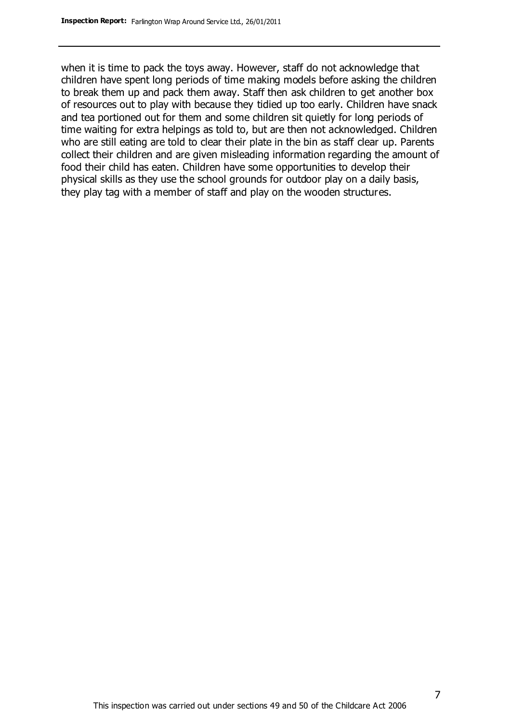when it is time to pack the toys away. However, staff do not acknowledge that children have spent long periods of time making models before asking the children to break them up and pack them away. Staff then ask children to get another box of resources out to play with because they tidied up too early. Children have snack and tea portioned out for them and some children sit quietly for long periods of time waiting for extra helpings as told to, but are then not acknowledged. Children who are still eating are told to clear their plate in the bin as staff clear up. Parents collect their children and are given misleading information regarding the amount of food their child has eaten. Children have some opportunities to develop their physical skills as they use the school grounds for outdoor play on a daily basis, they play tag with a member of staff and play on the wooden structures.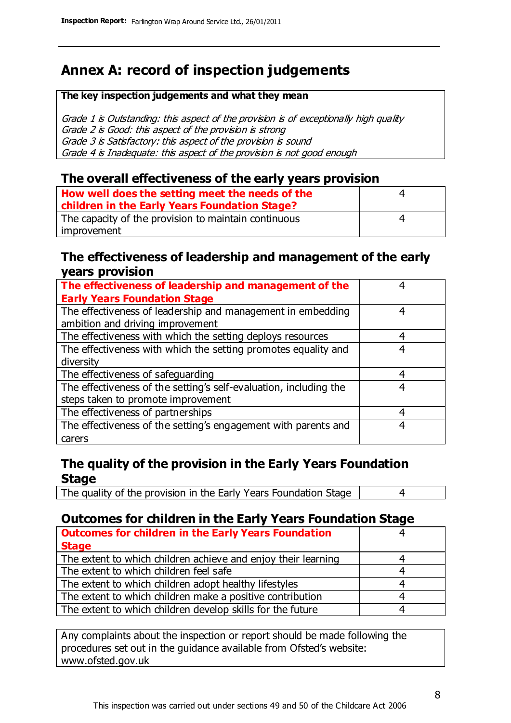## **Annex A: record of inspection judgements**

#### **The key inspection judgements and what they mean**

Grade 1 is Outstanding: this aspect of the provision is of exceptionally high quality Grade 2 is Good: this aspect of the provision is strong Grade 3 is Satisfactory: this aspect of the provision is sound Grade 4 is Inadequate: this aspect of the provision is not good enough

#### **The overall effectiveness of the early years provision**

| How well does the setting meet the needs of the      | 4 |
|------------------------------------------------------|---|
| children in the Early Years Foundation Stage?        |   |
| The capacity of the provision to maintain continuous | 4 |
| improvement                                          |   |

#### **The effectiveness of leadership and management of the early years provision**

| The effectiveness of leadership and management of the             |   |
|-------------------------------------------------------------------|---|
| <b>Early Years Foundation Stage</b>                               |   |
| The effectiveness of leadership and management in embedding       | 4 |
| ambition and driving improvement                                  |   |
| The effectiveness with which the setting deploys resources        |   |
| The effectiveness with which the setting promotes equality and    | 4 |
| diversity                                                         |   |
| The effectiveness of safeguarding                                 |   |
| The effectiveness of the setting's self-evaluation, including the | 4 |
| steps taken to promote improvement                                |   |
| The effectiveness of partnerships                                 | 4 |
| The effectiveness of the setting's engagement with parents and    | 4 |
| carers                                                            |   |

#### **The quality of the provision in the Early Years Foundation Stage**

The quality of the provision in the Early Years Foundation Stage | 4

#### **Outcomes for children in the Early Years Foundation Stage**

| <b>Outcomes for children in the Early Years Foundation</b>    |   |
|---------------------------------------------------------------|---|
| <b>Stage</b>                                                  |   |
| The extent to which children achieve and enjoy their learning |   |
| The extent to which children feel safe                        | 4 |
| The extent to which children adopt healthy lifestyles         |   |
| The extent to which children make a positive contribution     |   |
| The extent to which children develop skills for the future    |   |

Any complaints about the inspection or report should be made following the procedures set out in the guidance available from Ofsted's website: www.ofsted.gov.uk